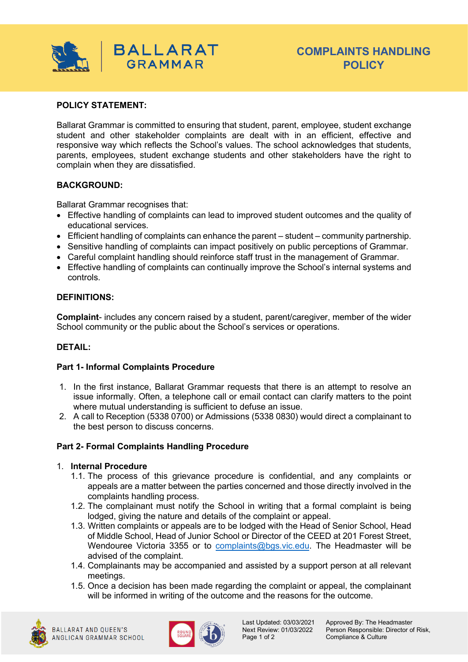

# **POLICY STATEMENT:**

Ballarat Grammar is committed to ensuring that student, parent, employee, student exchange student and other stakeholder complaints are dealt with in an efficient, effective and responsive way which reflects the School's values. The school acknowledges that students, parents, employees, student exchange students and other stakeholders have the right to complain when they are dissatisfied.

## **BACKGROUND:**

Ballarat Grammar recognises that:

- Effective handling of complaints can lead to improved student outcomes and the quality of educational services.
- Efficient handling of complaints can enhance the parent student community partnership.
- Sensitive handling of complaints can impact positively on public perceptions of Grammar.
- Careful complaint handling should reinforce staff trust in the management of Grammar.
- Effective handling of complaints can continually improve the School's internal systems and controls.

## **DEFINITIONS:**

**Complaint**- includes any concern raised by a student, parent/caregiver, member of the wider School community or the public about the School's services or operations.

# **DETAIL:**

# **Part 1- Informal Complaints Procedure**

- 1. In the first instance, Ballarat Grammar requests that there is an attempt to resolve an issue informally. Often, a telephone call or email contact can clarify matters to the point where mutual understanding is sufficient to defuse an issue.
- 2. A call to Reception (5338 0700) or Admissions (5338 0830) would direct a complainant to the best person to discuss concerns.

#### **Part 2- Formal Complaints Handling Procedure**

#### 1. **Internal Procedure**

- 1.1. The process of this grievance procedure is confidential, and any complaints or appeals are a matter between the parties concerned and those directly involved in the complaints handling process.
- 1.2. The complainant must notify the School in writing that a formal complaint is being lodged, giving the nature and details of the complaint or appeal.
- 1.3. Written complaints or appeals are to be lodged with the Head of Senior School, Head of Middle School, Head of Junior School or Director of the CEED at 201 Forest Street, Wendouree Victoria 3355 or to [complaints@bgs.vic.edu.](mailto:complaints@bgs.vic.edu) The Headmaster will be advised of the complaint.
- 1.4. Complainants may be accompanied and assisted by a support person at all relevant meetings.
- 1.5. Once a decision has been made regarding the complaint or appeal, the complainant will be informed in writing of the outcome and the reasons for the outcome.





Last Updated: 03/03/2021 Approved By: The Headmaster<br>Next Review: 01/03/2022 Person Responsible: Director o Next Review: 01/03/2022 Person Responsible: Director of Risk, Compliance & Culture